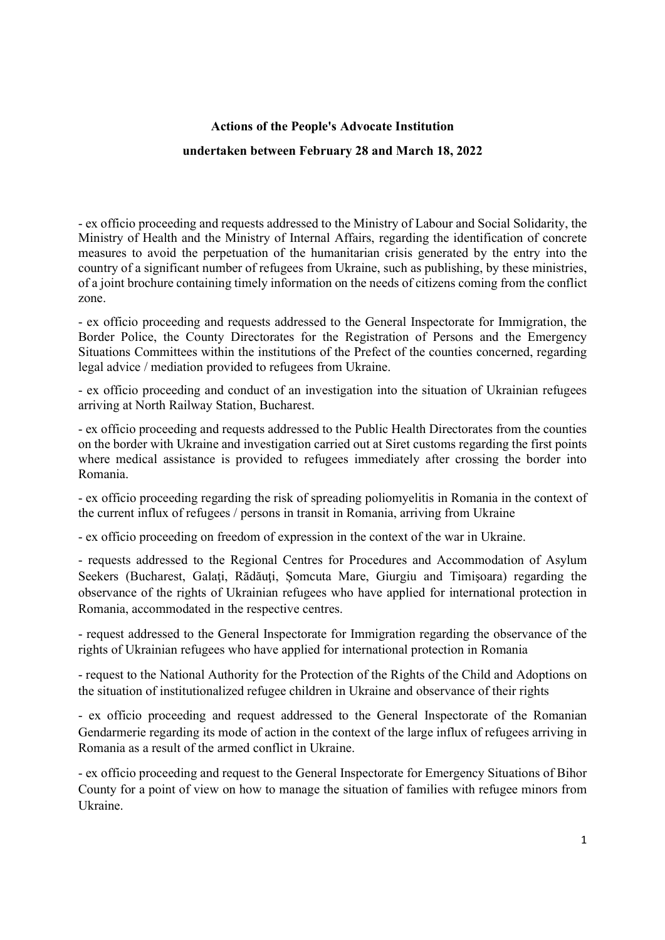## Actions of the People's Advocate Institution undertaken between February 28 and March 18, 2022

- ex officio proceeding and requests addressed to the Ministry of Labour and Social Solidarity, the Ministry of Health and the Ministry of Internal Affairs, regarding the identification of concrete measures to avoid the perpetuation of the humanitarian crisis generated by the entry into the country of a significant number of refugees from Ukraine, such as publishing, by these ministries, of a joint brochure containing timely information on the needs of citizens coming from the conflict zone.

- ex officio proceeding and requests addressed to the General Inspectorate for Immigration, the Border Police, the County Directorates for the Registration of Persons and the Emergency Situations Committees within the institutions of the Prefect of the counties concerned, regarding legal advice / mediation provided to refugees from Ukraine.

- ex officio proceeding and conduct of an investigation into the situation of Ukrainian refugees arriving at North Railway Station, Bucharest.

- ex officio proceeding and requests addressed to the Public Health Directorates from the counties on the border with Ukraine and investigation carried out at Siret customs regarding the first points where medical assistance is provided to refugees immediately after crossing the border into Romania.

- ex officio proceeding regarding the risk of spreading poliomyelitis in Romania in the context of the current influx of refugees / persons in transit in Romania, arriving from Ukraine

- ex officio proceeding on freedom of expression in the context of the war in Ukraine.

- requests addressed to the Regional Centres for Procedures and Accommodation of Asylum Seekers (Bucharest, Galaţi, Rădăuţi, Șomcuta Mare, Giurgiu and Timişoara) regarding the observance of the rights of Ukrainian refugees who have applied for international protection in Romania, accommodated in the respective centres.

- request addressed to the General Inspectorate for Immigration regarding the observance of the rights of Ukrainian refugees who have applied for international protection in Romania

- request to the National Authority for the Protection of the Rights of the Child and Adoptions on the situation of institutionalized refugee children in Ukraine and observance of their rights

- ex officio proceeding and request addressed to the General Inspectorate of the Romanian Gendarmerie regarding its mode of action in the context of the large influx of refugees arriving in Romania as a result of the armed conflict in Ukraine.

- ex officio proceeding and request to the General Inspectorate for Emergency Situations of Bihor County for a point of view on how to manage the situation of families with refugee minors from Ukraine.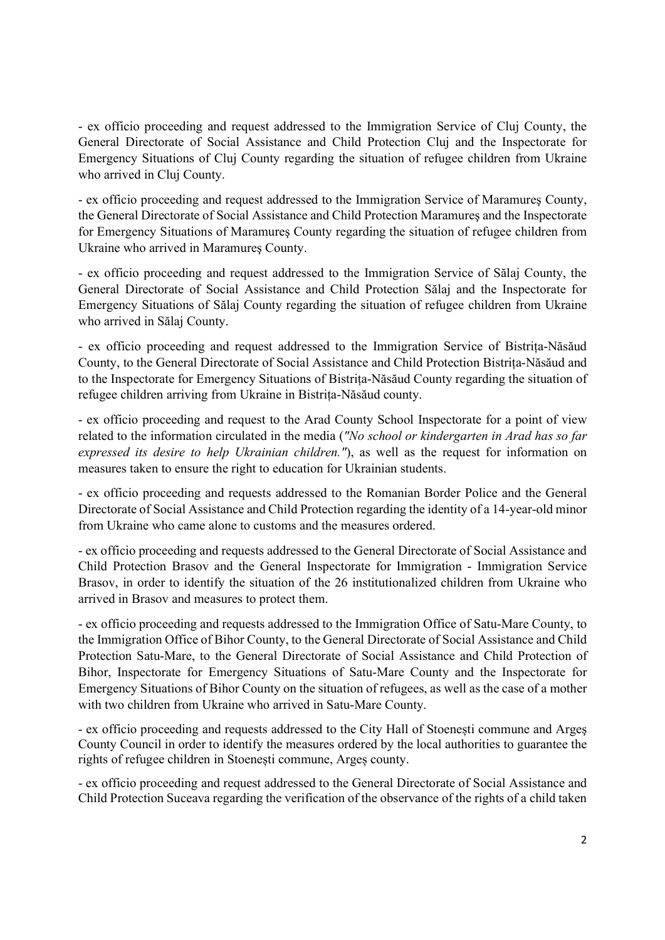- ex officio proceeding and request addressed to the Immigration Service of Cluj County, the General Directorate of Social Assistance and Child Protection Cluj and the Inspectorate for Emergency Situations of Cluj County regarding the situation of refugee children from Ukraine who arrived in Cluj County.

- ex officio proceeding and request addressed to the Immigration Service of Maramureş County, the General Directorate of Social Assistance and Child Protection Maramureş and the Inspectorate for Emergency Situations of Maramureş County regarding the situation of refugee children from Ukraine who arrived in Maramureş County.

- ex officio proceeding and request addressed to the Immigration Service of Sălaj County, the General Directorate of Social Assistance and Child Protection Sălaj and the Inspectorate for Emergency Situations of Sălaj County regarding the situation of refugee children from Ukraine who arrived in Sălaj County.

- ex officio proceeding and request addressed to the Immigration Service of Bistrița-Năsăud County, to the General Directorate of Social Assistance and Child Protection Bistrița-Năsăud and to the Inspectorate for Emergency Situations of Bistrița-Năsăud County regarding the situation of refugee children arriving from Ukraine in Bistrița-Năsăud county.

- ex officio proceeding and request to the Arad County School Inspectorate for a point of view related to the information circulated in the media ("No school or kindergarten in Arad has so far expressed its desire to help Ukrainian children."), as well as the request for information on measures taken to ensure the right to education for Ukrainian students.

- ex officio proceeding and requests addressed to the Romanian Border Police and the General Directorate of Social Assistance and Child Protection regarding the identity of a 14-year-old minor from Ukraine who came alone to customs and the measures ordered.

- ex officio proceeding and requests addressed to the General Directorate of Social Assistance and Child Protection Brasov and the General Inspectorate for Immigration - Immigration Service Brasov, in order to identify the situation of the 26 institutionalized children from Ukraine who arrived in Brasov and measures to protect them.

- ex officio proceeding and requests addressed to the Immigration Office of Satu-Mare County, to the Immigration Office of Bihor County, to the General Directorate of Social Assistance and Child Protection Satu-Mare, to the General Directorate of Social Assistance and Child Protection of Bihor, Inspectorate for Emergency Situations of Satu-Mare County and the Inspectorate for Emergency Situations of Bihor County on the situation of refugees, as well as the case of a mother with two children from Ukraine who arrived in Satu-Mare County.

- ex officio proceeding and requests addressed to the City Hall of Stoenești commune and Argeş County Council in order to identify the measures ordered by the local authorities to guarantee the rights of refugee children in Stoenești commune, Argeș county.

- ex officio proceeding and request addressed to the General Directorate of Social Assistance and Child Protection Suceava regarding the verification of the observance of the rights of a child taken